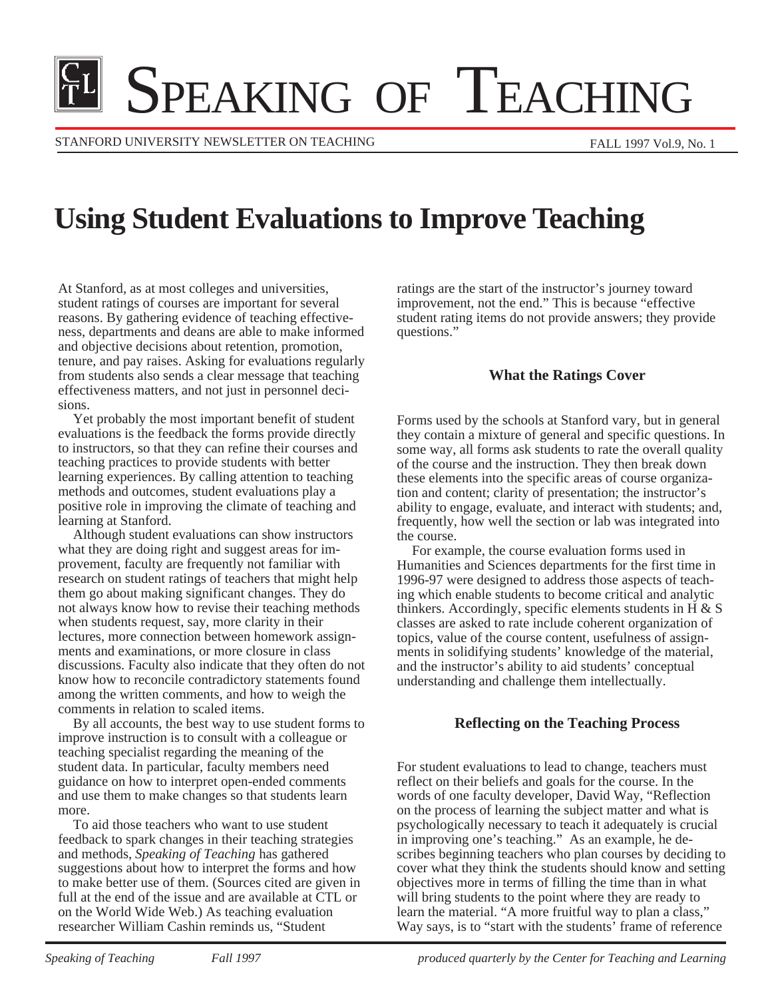# **IL SPEAKING OF TEACHING**

STANFORD UNIVERSITY NEWSLETTER ON TEACHING

# **Using Student Evaluations to Improve Teaching**

At Stanford, as at most colleges and universities, student ratings of courses are important for several reasons. By gathering evidence of teaching effectiveness, departments and deans are able to make informed and objective decisions about retention, promotion, tenure, and pay raises. Asking for evaluations regularly from students also sends a clear message that teaching effectiveness matters, and not just in personnel decisions.

Yet probably the most important benefit of student evaluations is the feedback the forms provide directly to instructors, so that they can refine their courses and teaching practices to provide students with better learning experiences. By calling attention to teaching methods and outcomes, student evaluations play a positive role in improving the climate of teaching and learning at Stanford.

Although student evaluations can show instructors what they are doing right and suggest areas for improvement, faculty are frequently not familiar with research on student ratings of teachers that might help them go about making significant changes. They do not always know how to revise their teaching methods when students request, say, more clarity in their lectures, more connection between homework assignments and examinations, or more closure in class discussions. Faculty also indicate that they often do not know how to reconcile contradictory statements found among the written comments, and how to weigh the comments in relation to scaled items.

By all accounts, the best way to use student forms to improve instruction is to consult with a colleague or teaching specialist regarding the meaning of the student data. In particular, faculty members need guidance on how to interpret open-ended comments and use them to make changes so that students learn more.

To aid those teachers who want to use student feedback to spark changes in their teaching strategies and methods, *Speaking of Teaching* has gathered suggestions about how to interpret the forms and how to make better use of them. (Sources cited are given in full at the end of the issue and are available at CTL or on the World Wide Web.) As teaching evaluation researcher William Cashin reminds us, "Student

ratings are the start of the instructor's journey toward improvement, not the end." This is because "effective student rating items do not provide answers; they provide questions."

### **What the Ratings Cover**

Forms used by the schools at Stanford vary, but in general they contain a mixture of general and specific questions. In some way, all forms ask students to rate the overall quality of the course and the instruction. They then break down these elements into the specific areas of course organization and content; clarity of presentation; the instructor's ability to engage, evaluate, and interact with students; and, frequently, how well the section or lab was integrated into the course.

For example, the course evaluation forms used in Humanities and Sciences departments for the first time in 1996-97 were designed to address those aspects of teaching which enable students to become critical and analytic thinkers. Accordingly, specific elements students in H  $\&$  S classes are asked to rate include coherent organization of topics, value of the course content, usefulness of assignments in solidifying students' knowledge of the material, and the instructor's ability to aid students' conceptual understanding and challenge them intellectually.

#### **Reflecting on the Teaching Process**

For student evaluations to lead to change, teachers must reflect on their beliefs and goals for the course. In the words of one faculty developer, David Way, "Reflection on the process of learning the subject matter and what is psychologically necessary to teach it adequately is crucial in improving one's teaching." As an example, he describes beginning teachers who plan courses by deciding to cover what they think the students should know and setting objectives more in terms of filling the time than in what will bring students to the point where they are ready to learn the material. "A more fruitful way to plan a class," Way says, is to "start with the students' frame of reference

*Speaking of Teaching* Fall 1997 *Fall 1997 produced quarterly by the Center for Teaching and Learning*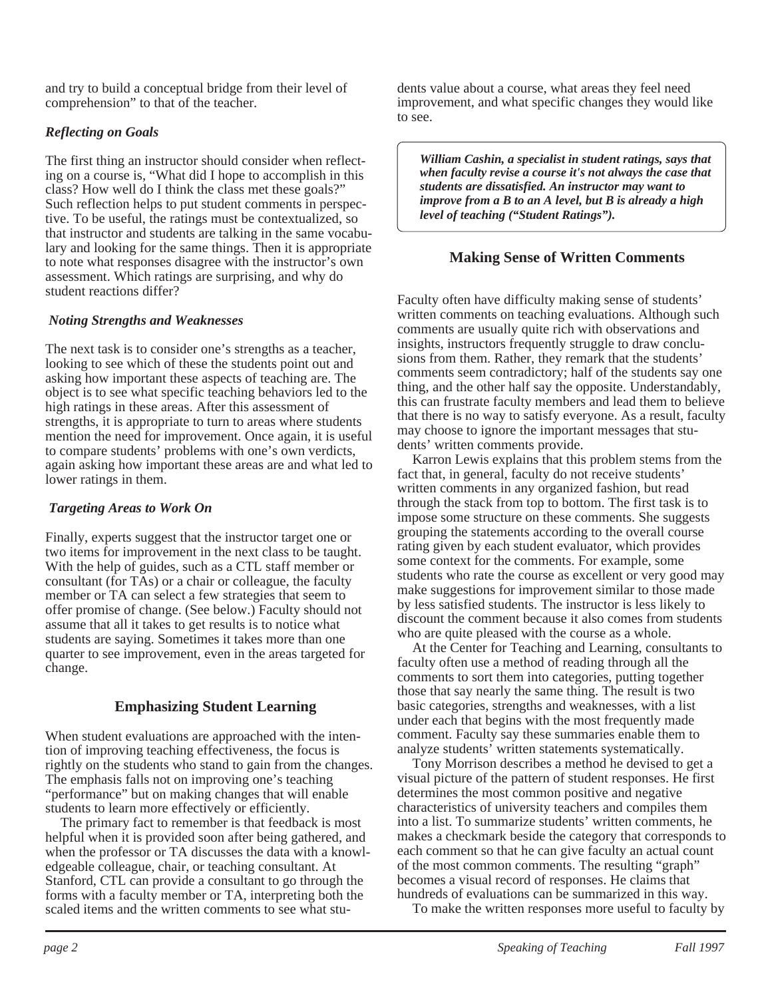and try to build a conceptual bridge from their level of comprehension" to that of the teacher.

## *Reflecting on Goals*

The first thing an instructor should consider when reflecting on a course is, "What did I hope to accomplish in this class? How well do I think the class met these goals?" Such reflection helps to put student comments in perspective. To be useful, the ratings must be contextualized, so that instructor and students are talking in the same vocabulary and looking for the same things. Then it is appropriate to note what responses disagree with the instructor's own assessment. Which ratings are surprising, and why do student reactions differ?

#### *Noting Strengths and Weaknesses*

The next task is to consider one's strengths as a teacher, looking to see which of these the students point out and asking how important these aspects of teaching are. The object is to see what specific teaching behaviors led to the high ratings in these areas. After this assessment of strengths, it is appropriate to turn to areas where students mention the need for improvement. Once again, it is useful to compare students' problems with one's own verdicts, again asking how important these areas are and what led to lower ratings in them.

#### *Targeting Areas to Work On*

Finally, experts suggest that the instructor target one or two items for improvement in the next class to be taught. With the help of guides, such as a CTL staff member or consultant (for TAs) or a chair or colleague, the faculty member or TA can select a few strategies that seem to offer promise of change. (See below.) Faculty should not assume that all it takes to get results is to notice what students are saying. Sometimes it takes more than one quarter to see improvement, even in the areas targeted for change.

# **Emphasizing Student Learning**

When student evaluations are approached with the intention of improving teaching effectiveness, the focus is rightly on the students who stand to gain from the changes. The emphasis falls not on improving one's teaching "performance" but on making changes that will enable students to learn more effectively or efficiently.

The primary fact to remember is that feedback is most helpful when it is provided soon after being gathered, and when the professor or TA discusses the data with a knowledgeable colleague, chair, or teaching consultant. At Stanford, CTL can provide a consultant to go through the forms with a faculty member or TA, interpreting both the scaled items and the written comments to see what students value about a course, what areas they feel need improvement, and what specific changes they would like to see.

*William Cashin, a specialist in student ratings, says that when faculty revise a course it's not always the case that students are dissatisfied. An instructor may want to improve from a B to an A level, but B is already a high level of teaching ("Student Ratings").*

# **Making Sense of Written Comments**

Faculty often have difficulty making sense of students' written comments on teaching evaluations. Although such comments are usually quite rich with observations and insights, instructors frequently struggle to draw conclusions from them. Rather, they remark that the students' comments seem contradictory; half of the students say one thing, and the other half say the opposite. Understandably, this can frustrate faculty members and lead them to believe that there is no way to satisfy everyone. As a result, faculty may choose to ignore the important messages that students' written comments provide.

Karron Lewis explains that this problem stems from the fact that, in general, faculty do not receive students' written comments in any organized fashion, but read through the stack from top to bottom. The first task is to impose some structure on these comments. She suggests grouping the statements according to the overall course rating given by each student evaluator, which provides some context for the comments. For example, some students who rate the course as excellent or very good may make suggestions for improvement similar to those made by less satisfied students. The instructor is less likely to discount the comment because it also comes from students who are quite pleased with the course as a whole.

At the Center for Teaching and Learning, consultants to faculty often use a method of reading through all the comments to sort them into categories, putting together those that say nearly the same thing. The result is two basic categories, strengths and weaknesses, with a list under each that begins with the most frequently made comment. Faculty say these summaries enable them to analyze students' written statements systematically.

Tony Morrison describes a method he devised to get a visual picture of the pattern of student responses. He first determines the most common positive and negative characteristics of university teachers and compiles them into a list. To summarize students' written comments, he makes a checkmark beside the category that corresponds to each comment so that he can give faculty an actual count of the most common comments. The resulting "graph" becomes a visual record of responses. He claims that hundreds of evaluations can be summarized in this way.

To make the written responses more useful to faculty by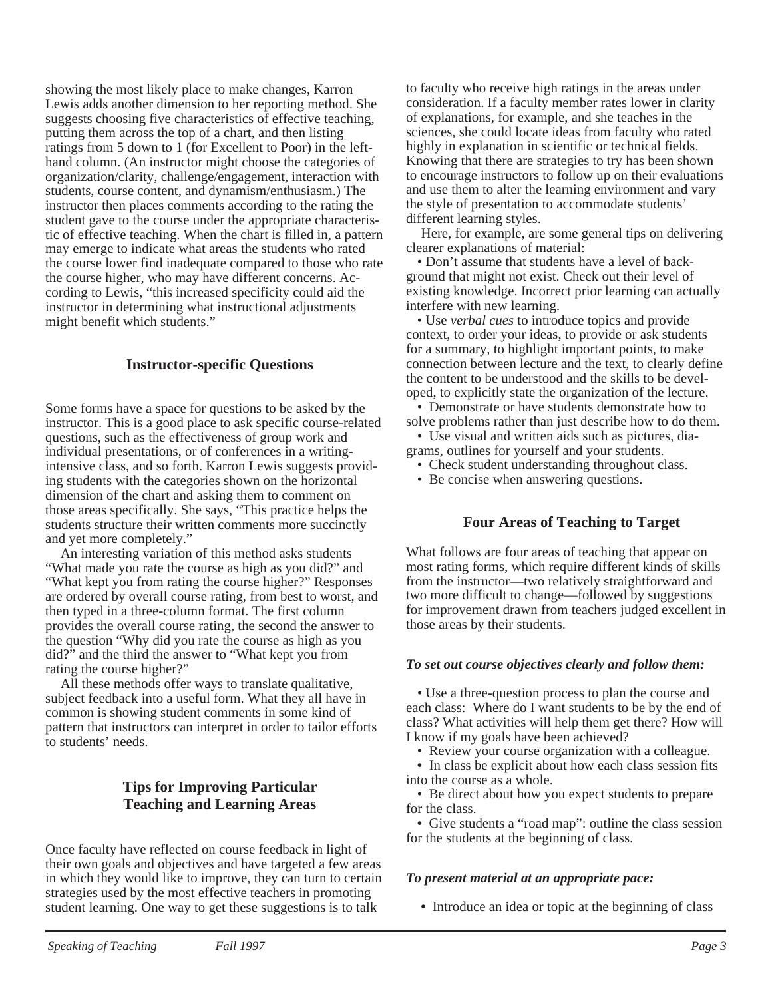showing the most likely place to make changes, Karron Lewis adds another dimension to her reporting method. She suggests choosing five characteristics of effective teaching, putting them across the top of a chart, and then listing ratings from 5 down to 1 (for Excellent to Poor) in the lefthand column. (An instructor might choose the categories of organization/clarity, challenge/engagement, interaction with students, course content, and dynamism/enthusiasm.) The instructor then places comments according to the rating the student gave to the course under the appropriate characteristic of effective teaching. When the chart is filled in, a pattern may emerge to indicate what areas the students who rated the course lower find inadequate compared to those who rate the course higher, who may have different concerns. According to Lewis, "this increased specificity could aid the instructor in determining what instructional adjustments might benefit which students."

#### **Instructor-specific Questions**

Some forms have a space for questions to be asked by the instructor. This is a good place to ask specific course-related questions, such as the effectiveness of group work and individual presentations, or of conferences in a writingintensive class, and so forth. Karron Lewis suggests providing students with the categories shown on the horizontal dimension of the chart and asking them to comment on those areas specifically. She says, "This practice helps the students structure their written comments more succinctly and yet more completely."

An interesting variation of this method asks students "What made you rate the course as high as you did?" and "What kept you from rating the course higher?" Responses are ordered by overall course rating, from best to worst, and then typed in a three-column format. The first column provides the overall course rating, the second the answer to the question "Why did you rate the course as high as you did?" and the third the answer to "What kept you from rating the course higher?"

All these methods offer ways to translate qualitative, subject feedback into a useful form. What they all have in common is showing student comments in some kind of pattern that instructors can interpret in order to tailor efforts to students' needs.

### **Tips for Improving Particular Teaching and Learning Areas**

Once faculty have reflected on course feedback in light of their own goals and objectives and have targeted a few areas in which they would like to improve, they can turn to certain strategies used by the most effective teachers in promoting student learning. One way to get these suggestions is to talk

to faculty who receive high ratings in the areas under consideration. If a faculty member rates lower in clarity of explanations, for example, and she teaches in the sciences, she could locate ideas from faculty who rated highly in explanation in scientific or technical fields. Knowing that there are strategies to try has been shown to encourage instructors to follow up on their evaluations and use them to alter the learning environment and vary the style of presentation to accommodate students' different learning styles.

Here, for example, are some general tips on delivering clearer explanations of material:

• Don't assume that students have a level of background that might not exist. Check out their level of existing knowledge. Incorrect prior learning can actually interfere with new learning.

• Use *verbal cues* to introduce topics and provide context, to order your ideas, to provide or ask students for a summary, to highlight important points, to make connection between lecture and the text, to clearly define the content to be understood and the skills to be developed, to explicitly state the organization of the lecture.

• Demonstrate or have students demonstrate how to solve problems rather than just describe how to do them.

• Use visual and written aids such as pictures, diagrams, outlines for yourself and your students.

- Check student understanding throughout class.
- Be concise when answering questions.

#### **Four Areas of Teaching to Target**

What follows are four areas of teaching that appear on most rating forms, which require different kinds of skills from the instructor—two relatively straightforward and two more difficult to change—followed by suggestions for improvement drawn from teachers judged excellent in those areas by their students.

#### *To set out course objectives clearly and follow them:*

*•* Use a three-question process to plan the course and each class: Where do I want students to be by the end of class? What activities will help them get there? How will I know if my goals have been achieved?

- Review your course organization with a colleague.
- In class be explicit about how each class session fits into the course as a whole.

• Be direct about how you expect students to prepare for the class.

**•** Give students a "road map": outline the class session for the students at the beginning of class.

#### *To present material at an appropriate pace:*

**•** Introduce an idea or topic at the beginning of class